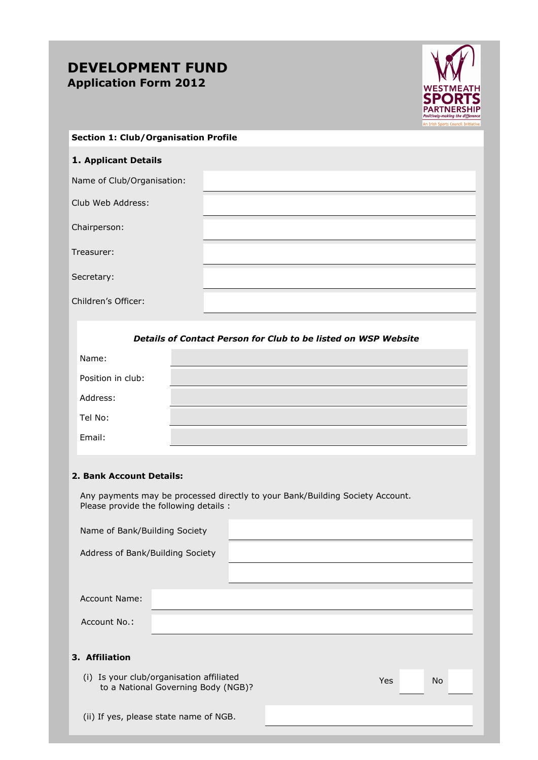# **DEVELOPMENT FUND Application Form 2012**



#### **Section 1: Club/Organisation Profile**

### **1. Applicant Details**

Name of Club/Organisation:

Club Web Address:

Chairperson:

Treasurer:

Secretary:

Children's Officer:

### *Details of Contact Person for Club to be listed on WSP Website*

| Name:             |  |
|-------------------|--|
| Position in club: |  |
| Address:          |  |
| Tel No:           |  |
| Email:            |  |

#### **2. Bank Account Details:**

 Any payments may be processed directly to your Bank/Building Society Account. Please provide the following details :

| Name of Bank/Building Society    |                                                                                 |  |            |           |  |
|----------------------------------|---------------------------------------------------------------------------------|--|------------|-----------|--|
| Address of Bank/Building Society |                                                                                 |  |            |           |  |
|                                  |                                                                                 |  |            |           |  |
| Account Name:                    |                                                                                 |  |            |           |  |
| Account No.:                     |                                                                                 |  |            |           |  |
| 3. Affiliation                   |                                                                                 |  |            |           |  |
|                                  | (i) Is your club/organisation affiliated<br>to a National Governing Body (NGB)? |  | <b>Yes</b> | <b>No</b> |  |

(ii) If yes, please state name of NGB.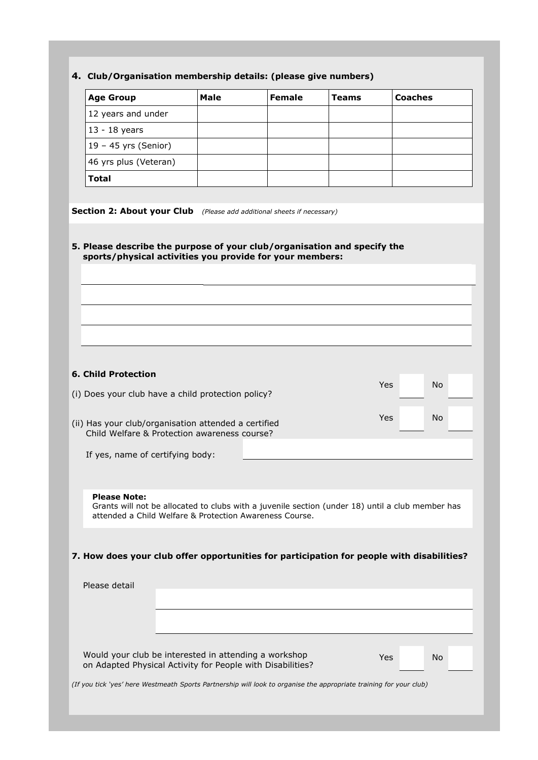## **4. Club/Organisation membership details: (please give numbers)**

| <b>Age Group</b>                                                                                                                                            | <b>Male</b> | <b>Female</b> | <b>Teams</b> | <b>Coaches</b>   |  |
|-------------------------------------------------------------------------------------------------------------------------------------------------------------|-------------|---------------|--------------|------------------|--|
| 12 years and under                                                                                                                                          |             |               |              |                  |  |
| 13 - 18 years                                                                                                                                               |             |               |              |                  |  |
| $19 - 45$ yrs (Senior)                                                                                                                                      |             |               |              |                  |  |
| 46 yrs plus (Veteran)                                                                                                                                       |             |               |              |                  |  |
| <b>Total</b>                                                                                                                                                |             |               |              |                  |  |
|                                                                                                                                                             |             |               |              |                  |  |
| <b>Section 2: About your Club</b> (Please add additional sheets if necessary)                                                                               |             |               |              |                  |  |
|                                                                                                                                                             |             |               |              |                  |  |
| 5. Please describe the purpose of your club/organisation and specify the<br>sports/physical activities you provide for your members:                        |             |               |              |                  |  |
|                                                                                                                                                             |             |               |              |                  |  |
|                                                                                                                                                             |             |               |              |                  |  |
|                                                                                                                                                             |             |               |              |                  |  |
|                                                                                                                                                             |             |               |              |                  |  |
|                                                                                                                                                             |             |               |              |                  |  |
|                                                                                                                                                             |             |               |              |                  |  |
| <b>6. Child Protection</b>                                                                                                                                  |             |               |              |                  |  |
|                                                                                                                                                             |             |               |              | <b>No</b><br>Yes |  |
| (i) Does your club have a child protection policy?                                                                                                          |             |               |              |                  |  |
| (ii) Has your club/organisation attended a certified<br>Child Welfare & Protection awareness course?                                                        |             |               |              | Yes<br><b>No</b> |  |
|                                                                                                                                                             |             |               |              |                  |  |
| If yes, name of certifying body:                                                                                                                            |             |               |              |                  |  |
|                                                                                                                                                             |             |               |              |                  |  |
| <b>Please Note:</b>                                                                                                                                         |             |               |              |                  |  |
| Grants will not be allocated to clubs with a juvenile section (under 18) until a club member has<br>attended a Child Welfare & Protection Awareness Course. |             |               |              |                  |  |
|                                                                                                                                                             |             |               |              |                  |  |
|                                                                                                                                                             |             |               |              |                  |  |
| 7. How does your club offer opportunities for participation for people with disabilities?                                                                   |             |               |              |                  |  |
|                                                                                                                                                             |             |               |              |                  |  |
| Please detail                                                                                                                                               |             |               |              |                  |  |
|                                                                                                                                                             |             |               |              |                  |  |
|                                                                                                                                                             |             |               |              |                  |  |
|                                                                                                                                                             |             |               |              |                  |  |
|                                                                                                                                                             |             |               |              |                  |  |
| Would your club be interested in attending a workshop<br>on Adapted Physical Activity for People with Disabilities?                                         |             |               |              | Yes<br>No        |  |
| (If you tick 'yes' here Westmeath Sports Partnership will look to organise the appropriate training for your club)                                          |             |               |              |                  |  |
|                                                                                                                                                             |             |               |              |                  |  |
|                                                                                                                                                             |             |               |              |                  |  |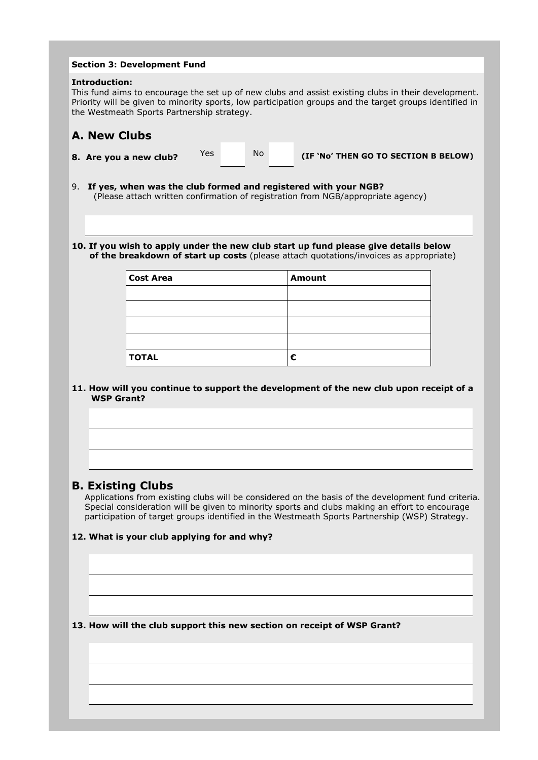|    |                      | <b>Section 3: Development Fund</b>                                      |     |           |                                                                                                                                                                                                                                                                                                       |  |
|----|----------------------|-------------------------------------------------------------------------|-----|-----------|-------------------------------------------------------------------------------------------------------------------------------------------------------------------------------------------------------------------------------------------------------------------------------------------------------|--|
|    | <b>Introduction:</b> | the Westmeath Sports Partnership strategy.                              |     |           | This fund aims to encourage the set up of new clubs and assist existing clubs in their development.<br>Priority will be given to minority sports, low participation groups and the target groups identified in                                                                                        |  |
|    | <b>A. New Clubs</b>  |                                                                         |     |           |                                                                                                                                                                                                                                                                                                       |  |
|    |                      | 8. Are you a new club?                                                  | Yes | <b>No</b> | (IF 'No' THEN GO TO SECTION B BELOW)                                                                                                                                                                                                                                                                  |  |
| 9. |                      |                                                                         |     |           | If yes, when was the club formed and registered with your NGB?<br>(Please attach written confirmation of registration from NGB/appropriate agency)                                                                                                                                                    |  |
|    |                      |                                                                         |     |           | 10. If you wish to apply under the new club start up fund please give details below<br>of the breakdown of start up costs (please attach quotations/invoices as appropriate)                                                                                                                          |  |
|    |                      | <b>Cost Area</b>                                                        |     |           | <b>Amount</b>                                                                                                                                                                                                                                                                                         |  |
|    |                      |                                                                         |     |           |                                                                                                                                                                                                                                                                                                       |  |
|    |                      | <b>TOTAL</b>                                                            |     |           | €                                                                                                                                                                                                                                                                                                     |  |
|    | <b>WSP Grant?</b>    |                                                                         |     |           |                                                                                                                                                                                                                                                                                                       |  |
|    |                      | <b>B. Existing Clubs</b><br>12. What is your club applying for and why? |     |           | Applications from existing clubs will be considered on the basis of the development fund criteria.<br>Special consideration will be given to minority sports and clubs making an effort to encourage<br>participation of target groups identified in the Westmeath Sports Partnership (WSP) Strategy. |  |
|    |                      |                                                                         |     |           |                                                                                                                                                                                                                                                                                                       |  |
|    |                      |                                                                         |     |           |                                                                                                                                                                                                                                                                                                       |  |
|    |                      |                                                                         |     |           | 13. How will the club support this new section on receipt of WSP Grant?                                                                                                                                                                                                                               |  |
|    |                      |                                                                         |     |           |                                                                                                                                                                                                                                                                                                       |  |
|    |                      |                                                                         |     |           |                                                                                                                                                                                                                                                                                                       |  |
|    |                      |                                                                         |     |           |                                                                                                                                                                                                                                                                                                       |  |